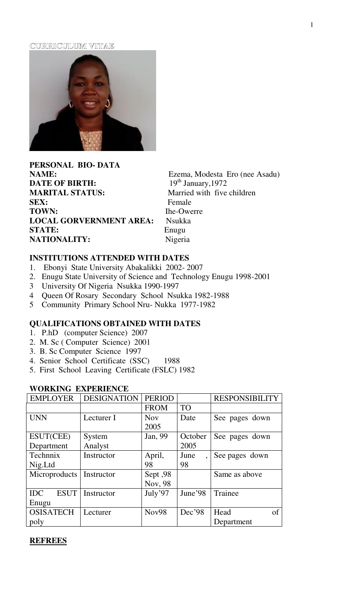#### CURRICULUM VITAE



**PERSONAL BIO- DATA NAME:** Ezema, Modesta Ero (nee Asadu)<br> **DATE OF BIRTH:** 19<sup>th</sup> January, 1972 **DATE OF BIRTH: MARITAL STATUS:** Married with five children **SEX:** Female **TOWN:** Ihe-Owerre **LOCAL GORVERNMENT AREA:** Nsukka **STATE:** Enugu **NATIONALITY:** Nigeria

# **INSTITUTIONS ATTENDED WITH DATES**

- 1. Ebonyi State University Abakalikki 2002- 2007
- 2. Enugu State University of Science and Technology Enugu 1998-2001
- 3 University Of Nigeria Nsukka 1990-1997
- 4 Queen Of Rosary Secondary School Nsukka 1982-1988
- 5 Community Primary School Nru- Nukka 1977-1982

# **QUALIFICATIONS OBTAINED WITH DATES**

- 1. P.hD (computer Science) 2007
- 2. M. Sc ( Computer Science) 2001
- 3. B. Sc Computer Science 1997
- 4. Senior School Certificate (SSC) 1988
- 5. First School Leaving Certificate (FSLC) 1982

| <b>EMPLOYER</b>           | <b>DESIGNATION</b> | <b>PERIOD</b> |           | <b>RESPONSIBILITY</b> |  |
|---------------------------|--------------------|---------------|-----------|-----------------------|--|
|                           |                    | <b>FROM</b>   | <b>TO</b> |                       |  |
| <b>UNN</b>                | Lecturer I         | <b>Nov</b>    | Date      | See pages down        |  |
|                           |                    | 2005          |           |                       |  |
| ESUT(CEE)                 | System             | Jan, 99       | October   | See pages down        |  |
| Department                | Analyst            |               | 2005      |                       |  |
| Technnix                  | Instructor         | April,        | June      | See pages down        |  |
| Nig.Ltd                   |                    | 98            | 98        |                       |  |
| Microproducts             | Instructor         | Sept, 98      |           | Same as above         |  |
|                           |                    | Nov, 98       |           |                       |  |
| <b>ESUT</b><br><b>IDC</b> | Instructor         | July'97       | June'98   | Trainee               |  |
| Enugu                     |                    |               |           |                       |  |
| <b>OSISATECH</b>          | Lecturer           | Nov98         | Dec'98    | Head<br>of            |  |
| poly                      |                    |               |           | Department            |  |

# **WORKING EXPERIENCE**

#### **REFREES**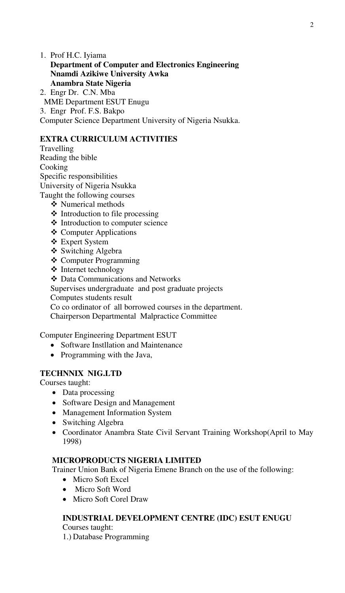1. Prof H.C. Iyiama **Department of Computer and Electronics Engineering Nnamdi Azikiwe University Awka Anambra State Nigeria** 

2. Engr Dr. C.N. Mba MME Department ESUT Enugu 3. Engr Prof. F.S. Bakpo Computer Science Department University of Nigeria Nsukka.

# **EXTRA CURRICULUM ACTIVITIES**

Travelling Reading the bible **Cooking** Specific responsibilities University of Nigeria Nsukka Taught the following courses

- ❖ Numerical methods
- $\triangleleft$  Introduction to file processing
- ❖ Introduction to computer science
- ❖ Computer Applications
- Expert System
- ❖ Switching Algebra
- Computer Programming
- $\div$  Internet technology
- Data Communications and Networks

Supervises undergraduate and post graduate projects

Computes students result

Co co ordinator of all borrowed courses in the department.

Chairperson Departmental Malpractice Committee

Computer Engineering Department ESUT

- Software Instillation and Maintenance
- Programming with the Java,

# **TECHNNIX NIG.LTD**

Courses taught:

- Data processing
- Software Design and Management
- Management Information System
- Switching Algebra
- Coordinator Anambra State Civil Servant Training Workshop(April to May 1998)

### **MICROPRODUCTS NIGERIA LIMITED**

Trainer Union Bank of Nigeria Emene Branch on the use of the following:

- Micro Soft Excel
- Micro Soft Word
- Micro Soft Corel Draw

# **INDUSTRIAL DEVELOPMENT CENTRE (IDC) ESUT ENUGU**

Courses taught: 1.) Database Programming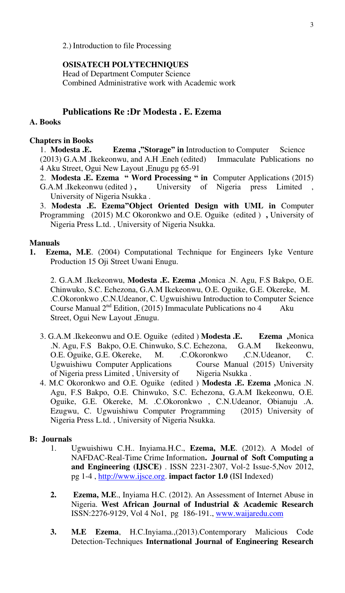2.) Introduction to file Processing

### **OSISATECH POLYTECHNIQUES**

Head of Department Computer Science Combined Administrative work with Academic work

# **Publications Re :Dr Modesta . E. Ezema**

### **A. Books**

### **Chapters in Books**

1. **Modesta .E. Ezema ,"Storage" in** Introduction to Computer Science (2013) G.A.M .Ikekeonwu, and A.H .Eneh (edited) Immaculate Publications no 4 Aku Street, Ogui New Layout ,Enugu pg 65-91

- 2. **Modesta .E. Ezema " Word Processing " in** Computer Applications (2015)
- G.A.M .Ikekeonwu (edited ), University of Nigeria press Limited University of Nigeria Nsukka .

3. **Modesta .E. Ezema"Object Oriented Design with UML in** Computer Programming (2015) M.C Okoronkwo and O.E. Oguike (edited ) **,** University of Nigeria Press L.td. , University of Nigeria Nsukka.

#### **Manuals**

**1. Ezema, M.E**. (2004) Computational Technique for Engineers Iyke Venture Production 15 Oji Street Uwani Enugu.

2. G.A.M .Ikekeonwu, **Modesta .E. Ezema ,**Monica .N. Agu, F.S Bakpo, O.E. Chinwuko, S.C. Echezona, G.A.M Ikekeonwu, O.E. Oguike, G.E. Okereke, M. .C.Okoronkwo ,C.N.Udeanor, C. Ugwuishiwu Introduction to Computer Science Course Manual  $2<sup>nd</sup>$  Edition, (2015) Immaculate Publications no 4 Aku Street, Ogui New Layout ,Enugu.

- 3. G.A.M .Ikekeonwu and O.E. Oguike (edited ) **Modesta .E. Ezema ,**Monica .N. Agu, F.S Bakpo, O.E. Chinwuko, S.C. Echezona, G.A.M Ikekeonwu, O.E. Oguike, G.E. Okereke, M. .C.Okoronkwo ,C.N.Udeanor, C. Ugwuishiwu Computer Applications Course Manual (2015) University of Nigeria press Limited, University of Nigeria Nsukka.
- 4. M.C Okoronkwo and O.E. Oguike (edited ) **Modesta .E. Ezema ,**Monica .N. Agu, F.S Bakpo, O.E. Chinwuko, S.C. Echezona, G.A.M Ikekeonwu, O.E. Oguike, G.E. Okereke, M. .C.Okoronkwo , C.N.Udeanor, Obianuju .A. Ezugwu, C. Ugwuishiwu Computer Programming (2015) University of Nigeria Press L.td. , University of Nigeria Nsukka.

### **B: Journals**

- 1. Ugwuishiwu C.H.. Inyiama.H.C., **Ezema, M.E**. (2012). A Model of NAFDAC-Real-Time Crime Information**. Journal of Soft Computing a and Engineering (IJSCE)** . ISSN 2231-2307, Vol-2 Issue-5,Nov 2012, pg 1-4 , [http://www.ijsce.org.](http://www.ijsce.org/) **impact factor 1.0 (**ISI Indexed)
- **2. Ezema, M.E**., Inyiama H.C. (2012). An Assessment of Internet Abuse in Nigeria. **West African Journal of Industrial & Academic Research**  ISSN:2276-9129, Vol 4 No1, pg 186-191., [www.waijaredu.com](http://www.waijaredu.com/)
- **3. M.E Ezema**, H.C.Inyiama.,(2013).Contemporary Malicious Code Detection-Techniques **International Journal of Engineering Research**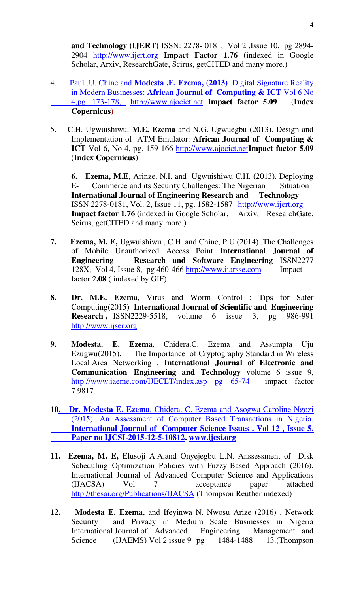**and Technology (IJERT)** ISSN: 2278- 0181, Vol 2 ,Issue 10, pg 2894- 2904 [http://www.ijert.org](http://www.ijert.org/) **Impact Factor 1.76 (**indexed in Google Scholar, Arxiv, ResearchGate, Scirus, getCITED and many more.)

- 4. Paul .U. Chine and **[Modesta .E. Ezema, \(2013\)](https://scholar.google.com/scholar?oi=bibs&cluster=15810773417364177955&btnI=1&hl=en)** .Digital Signature Reality in Modern Businesses: **[African Journal of Computing & ICT](https://scholar.google.com/scholar?oi=bibs&cluster=15810773417364177955&btnI=1&hl=en)** Vol 6 No  [4,pg 173-178,](https://scholar.google.com/scholar?oi=bibs&cluster=15810773417364177955&btnI=1&hl=en) [http://www.ajocict.net](http://www.ajocict.net/) **Impact factor 5.09** (**Index Copernicus)**
- 5. C.H. Ugwuishiwu, **M.E. Ezema** and N.G. Ugwuegbu (2013). Design and Implementation of ATM Emulator: **African Journal of Computing & ICT** Vol 6, No 4, pg. 159-166 [http://www.ajocict.net](http://www.ajocict.net/)**Impact factor 5.09** (**Index Copernicus)**

**6. Ezema, M.E**, Arinze, N.I. and Ugwuishiwu C.H. (2013). Deploying E- Commerce and its Security Challenges: The Nigerian Situation **International Journal of Engineering Research and Technology** ISSN 2278-0181, Vol. 2, Issue 11, pg. 1582-1587 [http://www.ijert.org](http://www.ijert.org/) **Impact factor 1.76 (**indexed in Google Scholar, Arxiv, ResearchGate, Scirus, getCITED and many more.)

- **7. Ezema, M. E,** Ugwuishiwu , C.H. and Chine, P.U (2014) .The Challenges of Mobile Unauthorized Access Point **International Journal of Engineering Research and Software Engineering** ISSN2277 128X, Vol 4, Issue 8, pg 460-466 [http://www.ijarsse.com](http://www.ijarsse.com/) Impact factor 2**.08** ( indexed by GIF)
- **8. Dr. M.E. Ezema**, Virus and Worm Control ; Tips for Safer Computing(2015) **International Journal of Scientific and Engineering Research, ISSN2229-5518, volume 6 issue 3, pg 986-991** [http://www.ijser.org](http://www.ijser.org/)
- **9. Modesta. E. Ezema**, Chidera.C. Ezema and Assumpta Uju Ezugwu(2015), The Importance of Cryptography Standard in Wireless Local Area Networking . **International Journal of Electronic and Communication Engineering and Technology** volume 6 issue 9, [http://www.iaeme.com/IJECET/index.asp pg 65-74](http://www.iaeme.com/IJECET/index.asp%20pg%2065-74) impact factor 7.9817.
- **10. Dr. Modesta E. Ezema**[, Chidera. C. Ezema and Asogwa Caroline Ngozi](https://scholar.google.com/scholar?oi=bibs&cluster=18062110548501922548&btnI=1&hl=en)   [\(2015\). An Assessment of Computer Based Transactions in Nigeria.](https://scholar.google.com/scholar?oi=bibs&cluster=18062110548501922548&btnI=1&hl=en)  **[International Journal of Computer Science Issues . Vol 12 , Issue 5.](https://scholar.google.com/scholar?oi=bibs&cluster=18062110548501922548&btnI=1&hl=en)   [Paper no IJCSI-2015-12-5-10812.](https://scholar.google.com/scholar?oi=bibs&cluster=18062110548501922548&btnI=1&hl=en) [www.ijcsi.org](http://www.ijcsi.org/)**
- **11. Ezema, M. E,** Elusoji A.A,and Onyejegbu L.N. Anssessment of Disk Scheduling Optimization Policies with Fuzzy-Based Approach (2016). International Journal of Advanced Computer Science and Applications (IJACSA) Vol 7 acceptance paper attached <http://thesai.org/Publications/IJACSA>(Thompson Reuther indexed)
- **12. Modesta E. Ezema**, and Ifeyinwa N. Nwosu Arize (2016) . Network Security and Privacy in Medium Scale Businesses in Nigeria International Journal of Advanced Engineering Management and Science (IJAEMS) Vol 2 issue 9 pg 1484-1488 13.(Thompson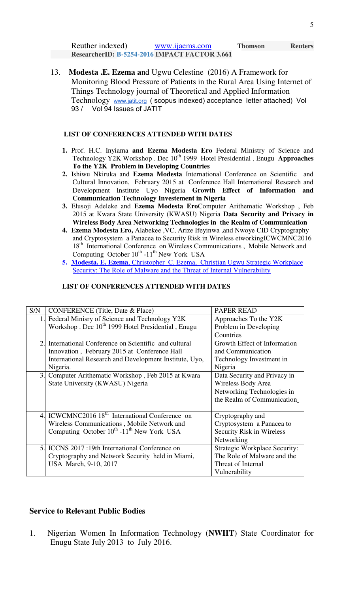| Reuther indexed) | www.maems.com                                 | <b>Thomson</b> | <b>Reuters</b> |
|------------------|-----------------------------------------------|----------------|----------------|
|                  | ResearcherID: B-5254-2016 IMPACT FACTOR 3.661 |                |                |

13. **Modesta .E. Ezema a**nd Ugwu Celestine (2016) A Framework for Monitoring Blood Pressure of Patients in the Rural Area Using Internet of Things Technology journal of Theoretical and Applied Information Technology www.jatit.org ( scopus indexed) acceptance letter attached) Vol 93 / Vol 94 Issues of JATIT

#### **LIST OF CONFERENCES ATTENDED WITH DATES**

- **1.** Prof. H.C. Inyiama **and Ezema Modesta Ero** Federal Ministry of Science and Technology Y2K Workshop . Dec 10<sup>th</sup> 1999 Hotel Presidential, Enugu Approaches **To the Y2K Problem in Developing Countries**
- **2.** Ishiwu Nkiruka and **Ezema Modesta** International Conference on Scientific and Cultural Innovation, February 2015 at Conference Hall International Research and Development Institute Uyo Nigeria **Growth Effect of Information and Communication Technology Investement in Nigeria**
- **3.** Elusoji Adeleke and **Ezema Modesta Ero**Computer Arithematic Workshop , Feb 2015 at Kwara State University (KWASU) Nigeria **Data Security and Privacy in Wireless Body Area Networking Technologies in the Realm of Communication**
- **4. Ezema Modesta Ero,** Alabekee ,VC, Arize Ifeyinwa ,and Nwoye CID Cryptography and Cryptosystem a Panacea to Security Risk in Wireless etworkingICWCMNC2016 18<sup>th</sup> International Conference on Wireless Communications, Mobile Network and Computing October  $10^{th}$  -11<sup>th</sup> New York USA
- **5. Modesta. E. Ezema**[, Christopher C. Ezema, Christian Ugwu Strategic Workplace](https://scholar.google.com/scholar?oi=bibs&cluster=11869313920727262477&btnI=1&hl=en)  Security: The Role of Malware and the Threat of Internal Vulnerability

#### **LIST OF CONFERENCES ATTENDED WITH DATES**

| S/N | <b>CONFERENCE</b> (Title, Date & Place)                        | <b>PAPER READ</b>                    |
|-----|----------------------------------------------------------------|--------------------------------------|
| 1.1 | Federal Minisry of Science and Technology Y2K                  | Approaches To the Y2K                |
|     | Workshop . Dec 10 <sup>th</sup> 1999 Hotel Presidential, Enugu | Problem in Developing                |
|     |                                                                | Countries                            |
| 2.1 | International Conference on Scientific and cultural            | Growth Effect of Information         |
|     | Innovation, February 2015 at Conference Hall                   | and Communication                    |
|     | International Research and Development Institute, Uyo,         | Technology Investment in             |
|     | Nigeria.                                                       | Nigeria                              |
|     | 3. Computer Arithematic Workshop, Feb 2015 at Kwara            | Data Security and Privacy in         |
|     | State University (KWASU) Nigeria                               | Wireless Body Area                   |
|     |                                                                | Networking Technologies in           |
|     |                                                                | the Realm of Communication           |
|     |                                                                |                                      |
|     | 4. ICWCMNC2016 18 <sup>th</sup> International Conference on    | Cryptography and                     |
|     | Wireless Communications, Mobile Network and                    | Cryptosystem a Panacea to            |
|     | Computing October $10^{th}$ -11 <sup>th</sup> New York USA     | <b>Security Risk in Wireless</b>     |
|     |                                                                | Networking                           |
|     | 5. ICCNS 2017 :19th International Conference on                | <b>Strategic Workplace Security:</b> |
|     | Cryptography and Network Security held in Miami,               | The Role of Malware and the          |
|     | USA March, 9-10, 2017                                          | Threat of Internal                   |
|     |                                                                | Vulnerability                        |

### **Service to Relevant Public Bodies**

1. Nigerian Women In Information Technology (**NWIIT**) State Coordinator for Enugu State July 2013 to July 2016.